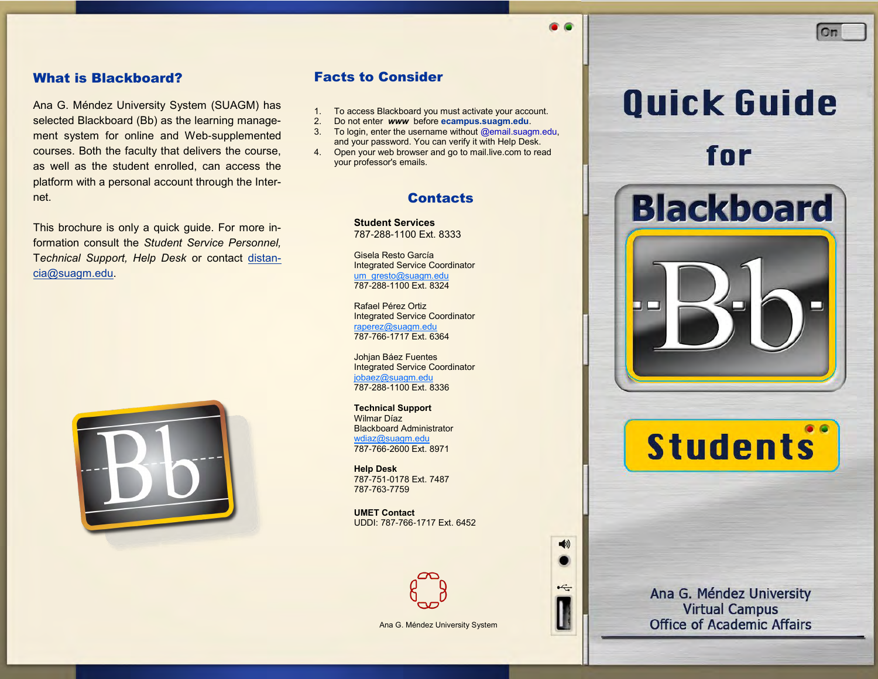#### What is Blackboard?

Ana G. Méndez University System (SUAGM) has selected Blackboard (Bb) as the learning management system for online and Web-supplemented courses. Both the faculty that delivers the course, as well as the student enrolled, can access the platform with a personal account through the Internet.

This brochure is only a quick guide. For more information consult the *Student Service Personnel,*  T*echnical Support, Help Desk* or contact distancia@suagm.edu.



#### Facts to Consider

- 1. To access Blackboard you must activate your account.
- 2. Do not enter *www* before **ecampus.suagm.edu**.
- 3. To login, enter the username without @email.suagm.edu, and your password. You can verify it with Help Desk.
- 4. Open your web browser and go to mail.live.com to read your professor's emails.

#### **Contacts**

**Student Services** 787-288-1100 Ext. 8333

Gisela Resto García Integrated Service Coordinator [um\\_gresto@suagm.edu](mailto:um_gresto@suagm.edu) 787-288-1100 Ext. 8324

Rafael Pérez Ortiz Integrated Service Coordinator [raperez@suagm.edu](mailto:raperez@suagm.edu) 787-766-1717 Ext. 6364

Johjan Báez Fuentes Integrated Service Coordinator [jobaez@suagm.edu](mailto:jobaez@suagm.edu) 787-288-1100 Ext. 8336

**Technical Support** Wilmar Díaz Blackboard Administrator [wdiaz@suagm.edu](mailto:wdiaz@suagm.edu) 787-766-2600 Ext. 8971

**Help Desk** 787-751-0178 Ext. 7487 787-763-7759

**UMET Contact** UDDI: 787-766-1717 Ext. 6452



Ana G. Méndez University System

# **Quick Guide**

 $On$ 

# for for

**Blackboard** 

□ □

 $\blacktriangleleft$ 

 $\div$ 



Ana G. Méndez University **Virtual Campus Office of Academic Affairs**